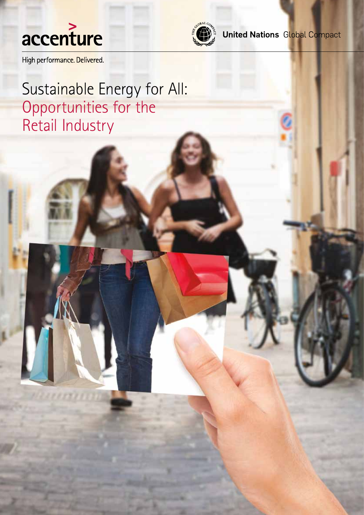



**United Nations Global Compact** 

High performance. Delivered.

Sustainable Energy for All: Opportunities for the Retail Industry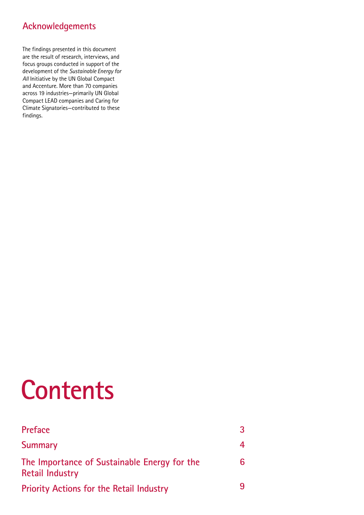# **Acknowledgements**

The findings presented in this document are the result of research, interviews, and focus groups conducted in support of the development of the *Sustainable Energy for All* Initiative by the UN Global Compact and Accenture. More than 70 companies across 19 industries—primarily UN Global Compact LEAD companies and Caring for Climate Signatories—contributed to these findings.

# **Contents**

| <b>Preface</b>                                                         | 3 |
|------------------------------------------------------------------------|---|
| <b>Summary</b>                                                         | 4 |
| The Importance of Sustainable Energy for the<br><b>Retail Industry</b> | 6 |
| <b>Priority Actions for the Retail Industry</b>                        | 9 |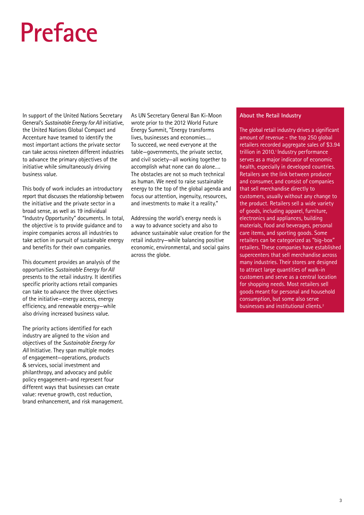# **Preface**

In support of the United Nations Secretary General's *Sustainable Energy for All* initiative, the United Nations Global Compact and Accenture have teamed to identify the most important actions the private sector can take across nineteen different industries to advance the primary objectives of the initiative while simultaneously driving business value.

This body of work includes an introductory report that discusses the relationship between the initiative and the private sector in a broad sense, as well as 19 individual "Industry Opportunity" documents. In total, the objective is to provide guidance and to inspire companies across all industries to take action in pursuit of sustainable energy and benefits for their own companies.

This document provides an analysis of the opportunities *Sustainable Energy for All* presents to the retail industry. It identifies specific priority actions retail companies can take to advance the three objectives of the initiative—energy access, energy efficiency, and renewable energy—while also driving increased business value.

The priority actions identified for each industry are aligned to the vision and objectives of the *Sustainable Energy for All* Initiative. They span multiple modes of engagement—operations, products & services, social investment and philanthropy, and advocacy and public policy engagement—and represent four different ways that businesses can create value: revenue growth, cost reduction, brand enhancement, and risk management. As UN Secretary General Ban Ki-Moon wrote prior to the 2012 World Future Energy Summit, "Energy transforms lives, businesses and economies…. To succeed, we need everyone at the table—governments, the private sector, and civil society—all working together to accomplish what none can do alone…. The obstacles are not so much technical as human. We need to raise sustainable energy to the top of the global agenda and focus our attention, ingenuity, resources, and investments to make it a reality."

Addressing the world's energy needs is a way to advance society and also to advance sustainable value creation for the retail industry—while balancing positive economic, environmental, and social gains across the globe.

#### **About the Retail Industry**

The global retail industry drives a significant amount of revenue - the top 250 global retailers recorded aggregate sales of \$3.94 trillion in 2010.<sup>1</sup> Industry performance serves as a major indicator of economic health, especially in developed countries. Retailers are the link between producer and consumer, and consist of companies that sell merchandise directly to customers, usually without any change to the product. Retailers sell a wide variety of goods, including apparel, furniture, electronics and appliances, building materials, food and beverages, personal care items, and sporting goods. Some retailers can be categorized as "big-box" retailers. These companies have established supercenters that sell merchandise across many industries. Their stores are designed to attract large quantities of walk-in customers and serve as a central location for shopping needs. Most retailers sell goods meant for personal and household consumption, but some also serve businesses and institutional clients.<sup>2</sup>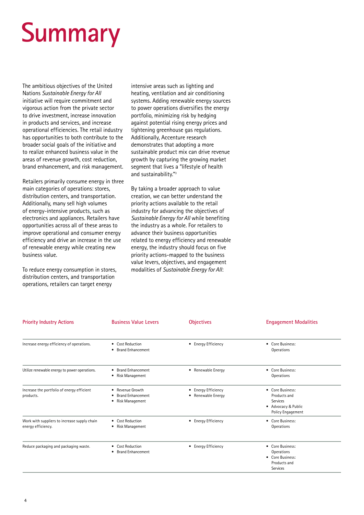# **Summary**

The ambitious objectives of the United Nations *Sustainable Energy for All* initiative will require commitment and vigorous action from the private sector to drive investment, increase innovation in products and services, and increase operational efficiencies. The retail industry has opportunities to both contribute to the broader social goals of the initiative and to realize enhanced business value in the areas of revenue growth, cost reduction, brand enhancement, and risk management.

Retailers primarily consume energy in three main categories of operations: stores, distribution centers, and transportation. Additionally, many sell high volumes of energy-intensive products, such as electronics and appliances. Retailers have opportunities across all of these areas to improve operational and consumer energy efficiency and drive an increase in the use of renewable energy while creating new business value.

To reduce energy consumption in stores, distribution centers, and transportation operations, retailers can target energy

intensive areas such as lighting and heating, ventilation and air conditioning systems. Adding renewable energy sources to power operations diversifies the energy portfolio, minimizing risk by hedging against potential rising energy prices and tightening greenhouse gas regulations. Additionally, Accenture research demonstrates that adopting a more sustainable product mix can drive revenue growth by capturing the growing market segment that lives a "lifestyle of health and sustainability."<sup>3</sup>

By taking a broader approach to value creation, we can better understand the priority actions available to the retail industry for advancing the objectives of *Sustainable Energy for All* while benefiting the industry as a whole. For retailers to advance their business opportunities related to energy efficiency and renewable energy, the industry should focus on five priority actions-mapped to the business value levers, objectives, and engagement modalities of *Sustainable Energy for All*:

| <b>Priority Industry Actions</b>                                   | <b>Business Value Levers</b>                                        | <b>Objectives</b>                                              | <b>Engagement Modalities</b>                                                             |
|--------------------------------------------------------------------|---------------------------------------------------------------------|----------------------------------------------------------------|------------------------------------------------------------------------------------------|
| Increase energy efficiency of operations.                          | <b>Cost Reduction</b><br>$\bullet$<br><b>Brand Enhancement</b><br>٠ | • Energy Efficiency                                            | • Core Business:<br>Operations                                                           |
| Utilize renewable energy to power operations.                      | <b>Brand Enhancement</b><br>$\bullet$<br>Risk Management<br>٠       | • Renewable Energy                                             | • Core Business:<br>Operations                                                           |
| Increase the portfolio of energy efficient<br>products.            | Revenue Growth<br><b>Brand Enhancement</b><br>Risk Management<br>٠  | <b>Energy Efficiency</b><br>$\bullet$<br>Renewable Energy<br>٠ | • Core Business:<br>Products and<br>Services<br>• Advocacy & Public<br>Policy Engagement |
| Work with suppliers to increase supply chain<br>energy efficiency. | <b>Cost Reduction</b><br>$\bullet$<br>Risk Management               | <b>Energy Efficiency</b><br>$\bullet$                          | • Core Business:<br>Operations                                                           |
| Reduce packaging and packaging waste.                              | <b>Cost Reduction</b><br>٠<br><b>Brand Enhancement</b>              | • Energy Efficiency                                            | • Core Business:<br>Operations<br>• Core Business:<br>Products and<br>Services           |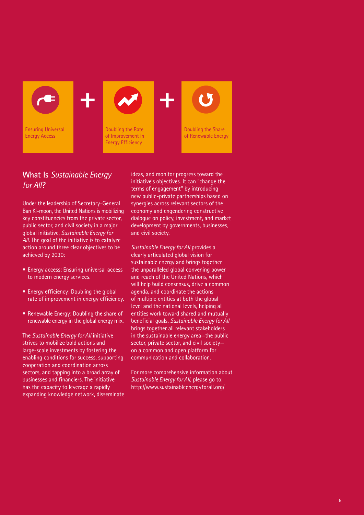

# **What Is** *Sustainable Energy for All***?**

Under the leadership of Secretary-General Ban Ki-moon, the United Nations is mobilizing key constituencies from the private sector, public sector, and civil society in a major global initiative, *Sustainable Energy for All*. The goal of the initiative is to catalyze action around three clear objectives to be achieved by 2030:

- Energy access: Ensuring universal access to modern energy services.
- Energy efficiency: Doubling the global rate of improvement in energy efficiency.
- Renewable Energy: Doubling the share of renewable energy in the global energy mix.

The *Sustainable Energy for All* initiative strives to mobilize bold actions and large-scale investments by fostering the enabling conditions for success, supporting cooperation and coordination across sectors, and tapping into a broad array of businesses and financiers. The initiative has the capacity to leverage a rapidly expanding knowledge network, disseminate ideas, and monitor progress toward the initiative's objectives. It can "change the terms of engagement" by introducing new public-private partnerships based on synergies across relevant sectors of the economy and engendering constructive dialogue on policy, investment, and market development by governments, businesses, and civil society.

*Sustainable Energy for All* provides a clearly articulated global vision for sustainable energy and brings together the unparalleled global convening power and reach of the United Nations, which will help build consensus, drive a common agenda, and coordinate the actions of multiple entities at both the global level and the national levels, helping all entities work toward shared and mutually beneficial goals. *Sustainable Energy for All* brings together all relevant stakeholders in the sustainable energy area—the public sector, private sector, and civil society on a common and open platform for communication and collaboration.

For more comprehensive information about *Sustainable Energy for All*, please go to: http://www.sustainableenergyforall.org/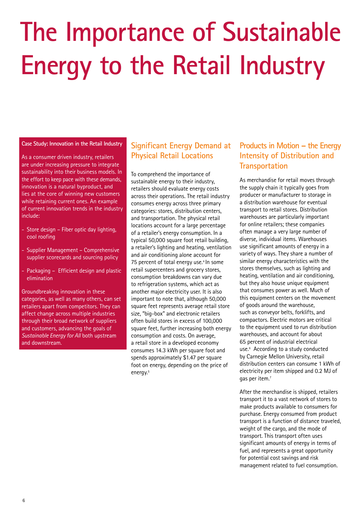# **The Importance of Sustainable Energy to the Retail Industry**

#### **Case Study: Innovation in the Retail Industry**

As a consumer driven industry, retailers are under increasing pressure to integrate sustainability into their business models. In the effort to keep pace with these demands, innovation is a natural byproduct, and lies at the core of winning new customers while retaining current ones. An example of current innovation trends in the industry include:

- Store design Fiber optic day lighting, cool roofing
- Supplier Management Comprehensive supplier scorecards and sourcing policy
- Packaging Efficient design and plastic elimination

Groundbreaking innovation in these categories, as well as many others, can set retailers apart from competitors. They can affect change across multiple industries through their broad network of suppliers and customers, advancing the goals of *Sustainable Energy for All* both upstream and downstream.

# **Significant Energy Demand at Products in Motion – the Energy Physical Retail Locations**

To comprehend the importance of sustainable energy to their industry, retailers should evaluate energy costs across their operations. The retail industry consumes energy across three primary categories: stores, distribution centers, and transportation. The physical retail locations account for a large percentage of a retailer's energy consumption. In a typical 50,000 square foot retail building, a retailer's lighting and heating, ventilation and air conditioning alone account for 75 percent of total energy use.<sup>4</sup> In some retail supercenters and grocery stores, consumption breakdowns can vary due to refrigeration systems, which act as another major electricity user. It is also important to note that, although 50,000 square feet represents average retail store size, "big-box" and electronic retailers often build stores in excess of 100,000 square feet, further increasing both energy consumption and costs. On average, a retail store in a developed economy consumes 14.3 kWh per square foot and spends approximately \$1.47 per square foot on energy, depending on the price of energy.<sup>5</sup>

# **Intensity of Distribution and Transportation**

As merchandise for retail moves through the supply chain it typically goes from producer or manufacturer to storage in a distribution warehouse for eventual transport to retail stores. Distribution warehouses are particularly important for online retailers; these companies often manage a very large number of diverse, individual items. Warehouses use significant amounts of energy in a variety of ways. They share a number of similar energy characteristics with the stores themselves, such as lighting and heating, ventilation and air conditioning, but they also house unique equipment that consumes power as well. Much of this equipment centers on the movement of goods around the warehouse, such as conveyor belts, forklifts, and compactors. Electric motors are critical to the equipment used to run distribution warehouses, and account for about 65 percent of industrial electrical use.6 According to a study conducted by Carnegie Mellon University, retail distribution centers can consume 1 kWh of electricity per item shipped and 0.2 MJ of gas per item.<sup>7</sup>

After the merchandise is shipped, retailers transport it to a vast network of stores to make products available to consumers for purchase. Energy consumed from product transport is a function of distance traveled, weight of the cargo, and the mode of transport. This transport often uses significant amounts of energy in terms of fuel, and represents a great opportunity for potential cost savings and risk management related to fuel consumption.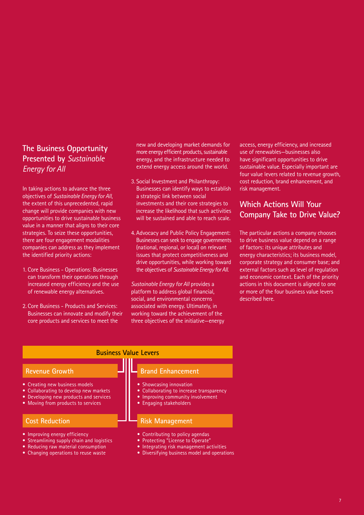# **The Business Opportunity Presented by** *Sustainable Energy for All*

In taking actions to advance the three objectives of *Sustainable Energy for All*, the extent of this unprecedented, rapid change will provide companies with new opportunities to drive sustainable business value in a manner that aligns to their core strategies. To seize these opportunities, there are four engagement modalities companies can address as they implement the identified priority actions:

- 1. Core Business Operations: Businesses can transform their operations through increased energy efficiency and the use of renewable energy alternatives.
- 2. Core Business Products and Services: Businesses can innovate and modify their core products and services to meet the

• Reducing raw material consumption • Changing operations to reuse waste

new and developing market demands for more energy efficient products, sustainable energy, and the infrastructure needed to extend energy access around the world.

- 3. Social Investment and Philanthropy: Businesses can identify ways to establish a strategic link between social investments and their core strategies to increase the likelihood that such activities will be sustained and able to reach scale.
- 4. Advocacy and Public Policy Engagement: Businesses can seek to engage governments (national, regional, or local) on relevant issues that protect competitiveness and drive opportunities, while working toward the objectives of *Sustainable Energy for All*.

*Sustainable Energy for All* provides a platform to address global financial, social, and environmental concerns associated with energy. Ultimately, in working toward the achievement of the three objectives of the initiative—energy access, energy efficiency, and increased use of renewables—businesses also have significant opportunities to drive sustainable value. Especially important are four value levers related to revenue growth, cost reduction, brand enhancement, and risk management.

# **Which Actions Will Your Company Take to Drive Value?**

The particular actions a company chooses to drive business value depend on a range of factors: its unique attributes and energy characteristics; its business model, corporate strategy and consumer base; and external factors such as level of regulation and economic context. Each of the priority actions in this document is aligned to one or more of the four business value levers described here.

#### **Business Value Levers Revenue Growth** • Creating new business models • Collaborating to develop new markets • Developing new products and services • Moving from products to services **Brand Enhancement** Showcasing innovation Collaborating to increase transparency Improving community involvement • Engaging stakeholders **Cost Reduction** • Improving energy efficiency • Streamlining supply chain and logistics **Risk Management** • Contributing to policy agendas Protecting "License to Operate"

- - Integrating risk management activities
		- Diversifying business model and operations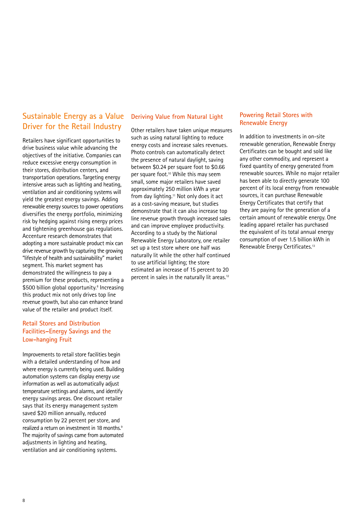# **Sustainable Energy as a Value Driver for the Retail Industry**

Retailers have significant opportunities to drive business value while advancing the objectives of the initiative. Companies can reduce excessive energy consumption in their stores, distribution centers, and transportation operations. Targeting energy intensive areas such as lighting and heating, ventilation and air conditioning systems will yield the greatest energy savings. Adding renewable energy sources to power operations diversifies the energy portfolio, minimizing risk by hedging against rising energy prices and tightening greenhouse gas regulations. Accenture research demonstrates that adopting a more sustainable product mix can drive revenue growth by capturing the growing "lifestyle of health and sustainability" market segment. This market segment has demonstrated the willingness to pay a premium for these products, representing a \$500 billion global opportunity.<sup>8</sup> Increasing this product mix not only drives top line revenue growth, but also can enhance brand value of the retailer and product itself.

### **Retail Stores and Distribution Facilities–Energy Savings and the Low-hanging Fruit**

Improvements to retail store facilities begin with a detailed understanding of how and where energy is currently being used. Building automation systems can display energy use information as well as automatically adjust temperature settings and alarms, and identify energy savings areas. One discount retailer says that its energy management system saved \$20 million annually, reduced consumption by 22 percent per store, and realized a return on investment in 18 months.9 The majority of savings came from automated adjustments in lighting and heating, ventilation and air conditioning systems.

#### **Deriving Value from Natural Light**

Other retailers have taken unique measures such as using natural lighting to reduce energy costs and increase sales revenues. Photo controls can automatically detect the presence of natural daylight, saving between \$0.24 per square foot to \$0.66 per square foot.<sup>10</sup> While this may seem small, some major retailers have saved approximately 250 million kWh a year from day lighting.<sup>11</sup> Not only does it act as a cost-saving measure, but studies demonstrate that it can also increase top line revenue growth through increased sales and can improve employee productivity. According to a study by the National Renewable Energy Laboratory, one retailer set up a test store where one half was naturally lit while the other half continued to use artificial lighting; the store estimated an increase of 15 percent to 20 percent in sales in the naturally lit areas.<sup>12</sup>

### **Powering Retail Stores with Renewable Energy**

In addition to investments in on-site renewable generation, Renewable Energy Certificates can be bought and sold like any other commodity, and represent a fixed quantity of energy generated from renewable sources. While no major retailer has been able to directly generate 100 percent of its local energy from renewable sources, it can purchase Renewable Energy Certificates that certify that they are paying for the generation of a certain amount of renewable energy. One leading apparel retailer has purchased the equivalent of its total annual energy consumption of over 1.5 billion kWh in Renewable Energy Certificates.13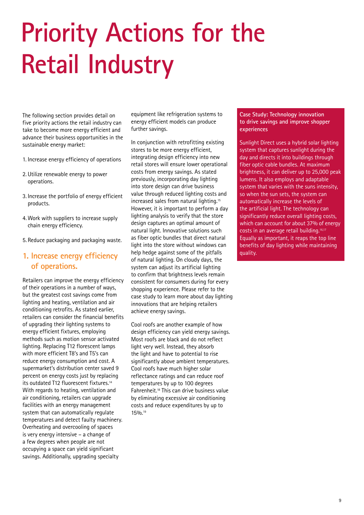# **Priority Actions for the Retail Industry**

The following section provides detail on five priority actions the retail industry can take to become more energy efficient and advance their business opportunities in the sustainable energy market:

- 1. Increase energy efficiency of operations
- 2. Utilize renewable energy to power operations.
- 3. Increase the portfolio of energy efficient products.
- 4. Work with suppliers to increase supply chain energy efficiency.
- 5. Reduce packaging and packaging waste.

### **1. Increase energy efficiency of operations.**

Retailers can improve the energy efficiency of their operations in a number of ways, but the greatest cost savings come from lighting and heating, ventilation and air conditioning retrofits. As stated earlier, retailers can consider the financial benefits of upgrading their lighting systems to energy efficient fixtures, employing methods such as motion sensor activated lighting. Replacing T12 florescent lamps with more efficient T8's and T5's can reduce energy consumption and cost. A supermarket's distribution center saved 9 percent on energy costs just by replacing its outdated T12 fluorescent fixtures.14 With regards to heating, ventilation and air conditioning, retailers can upgrade facilities with an energy management system that can automatically regulate temperatures and detect faulty machinery. Overheating and overcooling of spaces is very energy intensive – a change of a few degrees when people are not occupying a space can yield significant savings. Additionally, upgrading specialty

equipment like refrigeration systems to energy efficient models can produce further savings.

In conjunction with retrofitting existing stores to be more energy efficient, integrating design efficiency into new retail stores will ensure lower operational costs from energy savings. As stated previously, incorporating day lighting into store design can drive business value through reduced lighting costs and increased sales from natural lighting.15 However, it is important to perform a day lighting analysis to verify that the store design captures an optimal amount of natural light. Innovative solutions such as fiber optic bundles that direct natural light into the store without windows can help hedge against some of the pitfalls of natural lighting. On cloudy days, the system can adjust its artificial lighting to confirm that brightness levels remain consistent for consumers during for every shopping experience. Please refer to the case study to learn more about day lighting innovations that are helping retailers achieve energy savings.

Cool roofs are another example of how design efficiency can yield energy savings. Most roofs are black and do not reflect light very well. Instead, they absorb the light and have to potential to rise significantly above ambient temperatures. Cool roofs have much higher solar reflectance ratings and can reduce roof temperatures by up to 100 degrees Fahrenheit.18 This can drive business value by eliminating excessive air conditioning costs and reduce expenditures by up to 15%.<sup>19</sup>

#### **Case Study: Technology innovation to drive savings and improve shopper experiences**

Sunlight Direct uses a hybrid solar lighting system that captures sunlight during the day and directs it into buildings through fiber optic cable bundles. At maximum brightness, it can deliver up to 25,000 peak lumens. It also employs and adaptable system that varies with the suns intensity, so when the sun sets, the system can automatically increase the levels of the artificial light. The technology can significantly reduce overall lighting costs, which can account for about 37% of energy costs in an average retail building.<sup>16,17</sup> Equally as important, it reaps the top line benefits of day lighting while maintaining quality.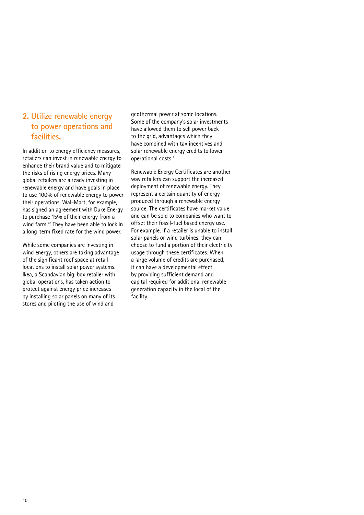## **2. Utilize renewable energy to power operations and facilities.**

In addition to energy efficiency measures, retailers can invest in renewable energy to enhance their brand value and to mitigate the risks of rising energy prices. Many global retailers are already investing in renewable energy and have goals in place to use 100% of renewable energy to power their operations. Wal-Mart, for example, has signed an agreement with Duke Energy to purchase 15% of their energy from a wind farm.<sup>20</sup> They have been able to lock in a long-term fixed rate for the wind power.

While some companies are investing in wind energy, others are taking advantage of the significant roof space at retail locations to install solar power systems. Ikea, a Scandavian big-box retailer with global operations, has taken action to protect against energy price increases by installing solar panels on many of its stores and piloting the use of wind and

geothermal power at some locations. Some of the company's solar investments have allowed them to sell power back to the grid, advantages which they have combined with tax incentives and solar renewable energy credits to lower operational costs.21

Renewable Energy Certificates are another way retailers can support the increased deployment of renewable energy. They represent a certain quantity of energy produced through a renewable energy source. The certificates have market value and can be sold to companies who want to offset their fossil-fuel based energy use. For example, if a retailer is unable to install solar panels or wind turbines, they can choose to fund a portion of their electricity usage through these certificates. When a large volume of credits are purchased, it can have a developmental effect by providing sufficient demand and capital required for additional renewable generation capacity in the local of the facility.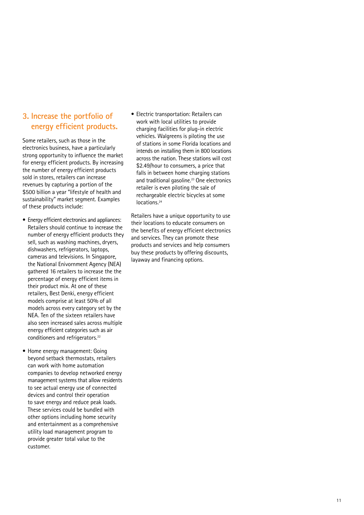# **3. Increase the portfolio of energy efficient products.**

Some retailers, such as those in the electronics business, have a particularly strong opportunity to influence the market for energy efficient products. By increasing the number of energy efficient products sold in stores, retailers can increase revenues by capturing a portion of the \$500 billion a year "lifestyle of health and sustainability" market segment. Examples of these products include:

- Energy efficient electronics and appliances: Retailers should continue to increase the number of energy efficient products they sell, such as washing machines, dryers, dishwashers, refrigerators, laptops, cameras and televisions. In Singapore, the National Enivornment Agency (NEA) gathered 16 retailers to increase the the percentage of energy efficient items in their product mix. At one of these retailers, Best Denki, energy efficient models comprise at least 50% of all models across every category set by the NEA. Ten of the sixteen retailers have also seen increased sales across multiple energy efficient categories such as air conditioners and refrigerators.<sup>22</sup>
- Home energy management: Going beyond setback thermostats, retailers can work with home automation companies to develop networked energy management systems that allow residents to see actual energy use of connected devices and control their operation to save energy and reduce peak loads. These services could be bundled with other options including home security and entertainment as a comprehensive utility load management program to provide greater total value to the customer.

• Electric transportation: Retailers can work with local utilities to provide charging facilities for plug-in electric vehicles. Walgreens is piloting the use of stations in some Florida locations and intends on installing them in 800 locations across the nation. These stations will cost \$2.49/hour to consumers, a price that falls in between home charging stations and traditional gasoline.<sup>23</sup> One electronics retailer is even piloting the sale of rechargeable electric bicycles at some locations.<sup>24</sup>

Retailers have a unique opportunity to use their locations to educate consumers on the benefits of energy efficient electronics and services. They can promote these products and services and help consumers buy these products by offering discounts, layaway and financing options.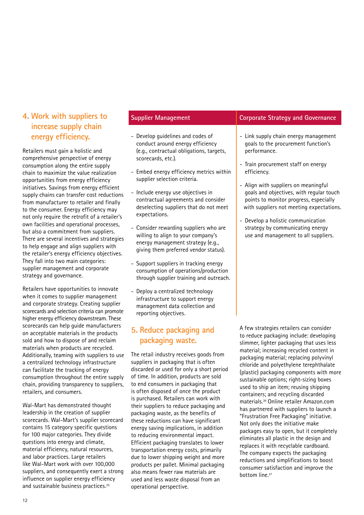# **4. Work with suppliers to increase supply chain energy efficiency.**

Retailers must gain a holistic and comprehensive perspective of energy consumption along the entire supply chain to maximize the value realization opportunities from energy efficiency initiatives. Savings from energy efficient supply chains can transfer cost reductions from manufacturer to retailer and finally to the consumer. Energy efficiency may not only require the retrofit of a retailer's own facilities and operational processes, but also a commitment from suppliers. There are several incentives and strategies to help engage and align suppliers with the retailer's energy efficiency objectives. They fall into two main categories: supplier management and corporate strategy and governance.

Retailers have opportunities to innovate when it comes to supplier management and corporate strategy. Creating supplier scorecards and selection criteria can promote higher energy efficiency downstream. These scorecards can help guide manufacturers on acceptable materials in the products sold and how to dispose of and reclaim materials when products are recycled. Additionally, teaming with suppliers to use a centralized technology infrastructure can facilitate the tracking of energy consumption throughout the entire supply chain, providing transparency to suppliers, retailers, and consumers.

Wal-Mart has demonstrated thought leadership in the creation of supplier scorecards. Wal-Mart's supplier scorecard contains 15 category specific questions for 100 major categories. They divide questions into energy and climate, material efficiency, natural resources, and labor practices. Large retailers like Wal-Mart work with over 100,000 suppliers, and consequently exert a strong influence on supplier energy efficiency and sustainable business practices.25

- Develop guidelines and codes of conduct around energy efficiency (e.g., contractual obligations, targets, scorecards, etc.).
- Embed energy efficiency metrics within supplier selection criteria.
- Include energy use objectives in contractual agreements and consider deselecting suppliers that do not meet expectations.
- Consider rewarding suppliers who are willing to align to your company's energy management strategy (e.g., giving them preferred vendor status).
- Support suppliers in tracking energy consumption of operations/production through supplier training and outreach.
- Deploy a centralized technology infrastructure to support energy management data collection and reporting objectives.

## **5. Reduce packaging and packaging waste.**

The retail industry receives goods from suppliers in packaging that is often discarded or used for only a short period of time. In addition, products are sold to end consumers in packaging that is often disposed of once the product is purchased. Retailers can work with their suppliers to reduce packaging and packaging waste, as the benefits of these reductions can have significant energy saving implications, in addition to reducing environmental impact. Efficient packaging translates to lower transportation energy costs, primarily due to lower shipping weight and more products per pallet. Minimal packaging also means fewer raw materials are used and less waste disposal from an operational perspective.

### **Supplier Management Corporate Strategy and Governance**

- Link supply chain energy management goals to the procurement function's performance.
- Train procurement staff on energy efficiency.
- Align with suppliers on meaningful goals and objectives, with regular touch points to monitor progress, especially with suppliers not meeting expectations.
- Develop a holistic communication strategy by communicating energy use and management to all suppliers.

A few strategies retailers can consider to reduce packaging include: developing slimmer, lighter packaging that uses less material; increasing recycled content in packaging material; replacing polyvinyl chloride and polyethylene terephthalate (plastic) packaging components with more sustainable options; right-sizing boxes used to ship an item; reusing shipping containers; and recycling discarded materials.26 Online retailer Amazon.com has partnered with suppliers to launch a "Frustration Free Packaging" initiative. Not only does the initiative make packages easy to open, but it completely eliminates all plastic in the design and replaces it with recyclable cardboard. The company expects the packaging reductions and simplifications to boost consumer satisfaction and improve the bottom line.<sup>27</sup>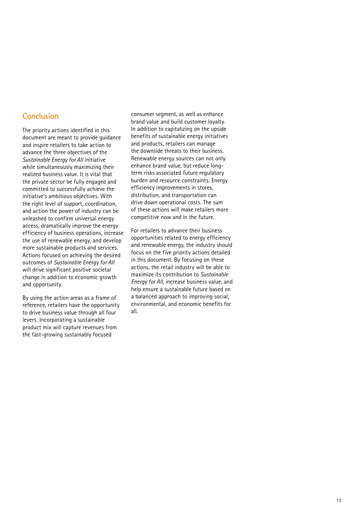### **Conclusion**

The priority actions identified in this document are meant to provide guidance and inspire retailers to take action to advance the three objectives of the *Sustainable Energy for All* initiative while simultaneously maximizing their realized business value. It is vital that the private sector be fully engaged and committed to successfully achieve the initiative's ambitious objectives. With the right level of support, coordination, and action the power of industry can be unleashed to confirm universal energy access, dramatically improve the energy efficiency of business operations, increase the use of renewable energy, and develop more sustainable products and services. Actions focused on achieving the desired outcomes of *Sustainable Energy for All* will drive significant positive societal change in addition to economic growth and opportunity.

By using the action areas as a frame of reference, retailers have the opportunity to drive business value through all four levers. Incorporating a sustainable product mix will capture revenues from the fast-growing sustainably focused

consumer segment, as well as enhance brand value and build customer loyalty. In addition to capitalizing on the upside benefits of sustainable energy initiatives and products, retailers can manage the downside threats to their business. Renewable energy sources can not only enhance brand value, but reduce longterm risks associated future regulatory burden and resource constraints. Energy efficiency improvements in stores, distribution, and transportation can drive down operational costs. The sum of these actions will make retailers more competitive now and in the future.

For retailers to advance their business opportunities related to energy efficiency and renewable energy, the industry should focus on the five priority actions detailed in this document. By focusing on these actions, the retail industry will be able to maximize its contribution to *Sustainable Energy for All*, increase business value, and help ensure a sustainable future based on a balanced approach to improving social, environmental, and economic benefits for all.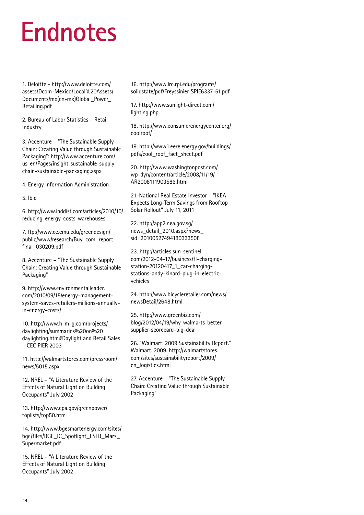# **Endnotes**

1. Deloitte - http://www.deloitte.com/ assets/Dcom-Mexico/Local%20Assets/ Documents/mx(en-mx)Global\_Power\_ Retailing.pdf

2. Bureau of Labor Statistics – Retail Industry

3. Accenture – "The Sustainable Supply Chain: Creating Value through Sustainable Packaging": http://www.accenture.com/ us-en/Pages/insight-sustainable-supplychain-sustainable-packaging.aspx

4. Energy Information Administration

5. Ibid

6. http://www.inddist.com/articles/2010/10/ reducing-energy-costs-warehouses

7. ftp://www.ce.cmu.edu/greendesign/ public/www/research/Buy\_com\_report\_ final\_030209.pdf

8. Accenture – "The Sustainable Supply Chain: Creating Value through Sustainable Packaging"

9. http://www.environmentalleader. com/2010/09/15/energy-managementsystem-saves-retailers-millions-annuallyin-energy-costs/

10. http://www.h-m-g.com/projects/ daylighting/summaries%20on%20 daylighting.htm#Daylight and Retail Sales – CEC PIER 2003

11. http://walmartstores.com/pressroom/ news/5015.aspx

12. NREL – "A Literature Review of the Effects of Natural Light on Building Occupants" July 2002

13. http://www.epa.gov/greenpower/ toplists/top50.htm

14. http://www.bgesmartenergy.com/sites/ bge/files/BGE\_IC\_Spotlight\_ESFB\_Mars\_ Supermarket.pdf

15. NREL – "A Literature Review of the Effects of Natural Light on Building Occupants" July 2002

16. http://www.lrc.rpi.edu/programs/ solidstate/pdf/Freyssinier-SPIE6337-51.pdf

17. http://www.sunlight-direct.com/ lighting.php

18. http://www.consumerenergycenter.org/ coolroof/

19. http://www1.eere.energy.gov/buildings/ pdfs/cool\_roof\_fact\_sheet.pdf

20. http://www.washingtonpost.com/ wp-dyn/content/article/2008/11/19/ AR2008111903586.html

21. National Real Estate Investor – "IKEA Expects Long-Term Savings from Rooftop Solar Rollout" July 11, 2011

22. http://app2.nea.gov.sg/ news\_detail\_2010.aspx?news\_ sid=20100527494180333508

23. http://articles.sun-sentinel. com/2012-04-17/business/fl-chargingstation-20120417\_1\_car-chargingstations-andy-kinard-plug-in-electricvehicles

24. http://www.bicycleretailer.com/news/ newsDetail/2648.html

25. http://www.greenbiz.com/ blog/2012/04/19/why-walmarts-bettersupplier-scorecard-big-deal

26. "Walmart: 2009 Sustainability Report." Walmart. 2009. http://walmartstores. com/sites/sustainabilityreport/2009/ en\_logistics.html

27. Accenture – "The Sustainable Supply Chain: Creating Value through Sustainable Packaging"